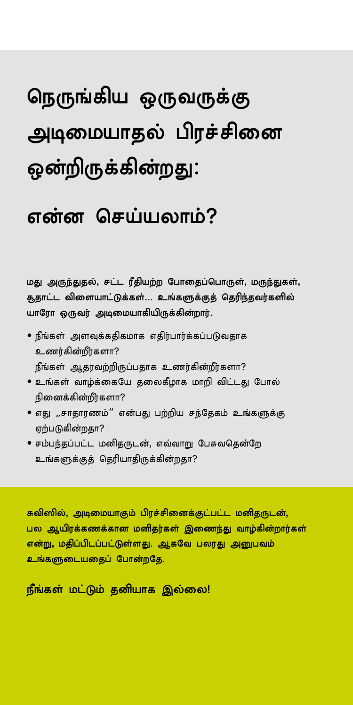# நெருங்கிய ஒருவருக்கு அடிமையாதல் பிரச்சினை ஒன்றிருக்கின்றது:

# என்ன செய்யலாம்?

மது அருந்துதல், சட்ட ரீதியற்ற போதைப்பொருள், மருந்துகள், சூதாட்ட விளையாட்டுக்கள்... உங்களுக்குத் தெரிந்தவர்களில் யாரோ ஒருவர் அடிமையாகியிருக்கின்றார்.

- $\bullet$  நீங்கள் அளவுக்கதிகமாக எதிர்பார்க்கப்படுவதாக உணர்கின்றீர்களா? நீங்கள் ஆதரவற்றிருப்பதாக உணர்கின்றீர்களா?
- உங்கள் வாழ்க்கையே தலைகீழாக மாறி விட்டது போல் நினைக்கின்றீர்களா?
- எது ,,சாதாரணம்'' என்பது பற்றிய சந்தேகம் உங்களுக்கு ஏற்படுகின்றதா?
- சம்பந்கப்பட்ட மனிகருடன், எவ்வாறு பேசுவகென்றே உங்களுக்குத் தெரியாதிருக்கின்றதா?

சுவிஸில், அடிமையாகும் பிாச்சினைக்குட்பட்ட மனிகருடன். பல ஆயிரக்கணக்கான மனிதர்கள் இணைந்து வாழ்கின்றார்கள் என்று, மதிப்பிடப்பட்டுள்ளது. ஆகவே பலரது அனுபவம் உங்களுடையதைப் போன்றதே.

நீங்கள் மட்டும் தனியாக இல்லை!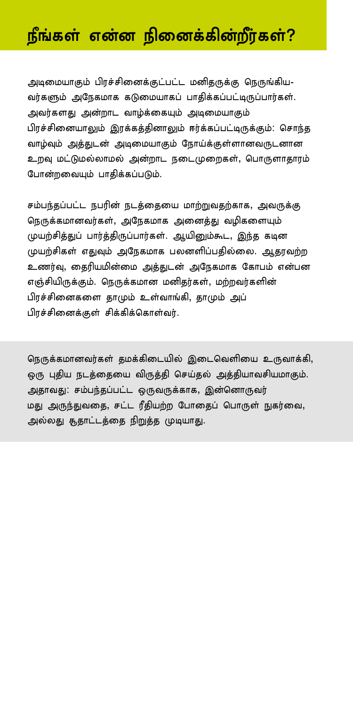## நீங்கள் என்ன நினைக்கின்றீர்கள்?

அடிமையாகும் பிரச்சினைக்குட்பட்ட மனிதருக்கு நெருங்கிய-வர்களும் அநேகமாக கடுமையாகப் பாதிக்கப்பட்டிருப்பார்கள். அவர்களது அன்றாட வாழ்க்கையும் அடிமையாகும் பிரச்சினையாலும் இரக்கத்தினாலும் ஈர்க்கப்பட்டிருக்கும்: சொந்த வாழ்வும் அத்துடன் அடிமையாகும் நோய்க்குள்ளானவருடனான உறவு மட்டுமல்லாமல் அன்றாட நடைமுறைகள், பொருளாதாரம் போன்றவையும் பாதிக்கப்படும்.

சம்பந்தப்பட்ட நபரின் நடத்தையை மாற்றுவதற்காக, அவருக்கு நெருக்கமானவர்கள், அநேகமாக அனைத்து வழிகளையும் முயற்சித்துப் பார்த்திருப்பார்கள். ஆயினும்கூட, இந்த கடின முயற்சிகள் எதுவும் அநேகமாக பலனளிப்பதில்லை. ஆதரவற்ற உணர்வு, தைரியமின்மை அத்துடன் அநேகமாக கோபம் என்பன எஞ்சியிருக்கும். நெருக்கமான மனிதர்கள், மற்றவர்களின் பிரச்சினைகளை தாமும் உள்வாங்கி, தாமும் அப் பிரச்சினைக்குள் சிக்கிக்கொள்வர்.

நெருக்கமானவர்கள் தமக்கிடையில் இடைவெளியை உருவாக்கி, ஒரு புதிய நடத்தையை விருத்தி செய்தல் அத்தியாவசியமாகும். அதாவது: சம்பந்தப்பட்ட ஒருவருக்காக, இன்னொருவர் மது அருந்துவதை, சட்ட ரீதியற்ற போதைப் பொருள் நுகர்வை, அல்லது சூதாட்டத்தை நிறுத்த முடியாது.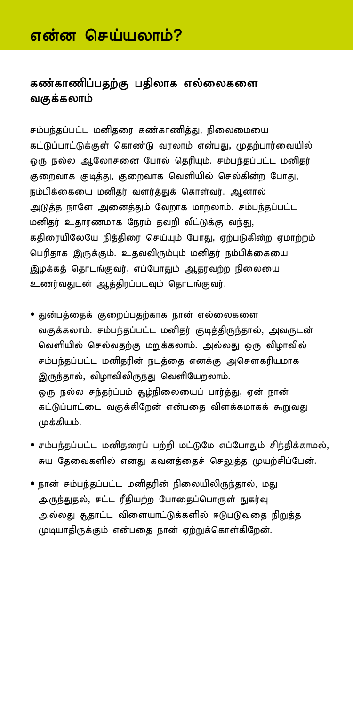### என்ன செய்யலாம்?

#### கண்காணிப்பதற்கு பதிலாக எல்லைகளை வகுக்கலாம்

சம்பந்தப்பட்ட மனிதரை கண்காணித்து, நிலைமையை கட்டுப்பாட்டுக்குள் கொண்டு வரலாம் என்பது, முதற்பார்வையில் ஒரு நல்ல ஆலோசனை போல் தெரியும். சம்பந்தப்பட்ட மனிதர் குறைவாக குடித்து, குறைவாக வெளியில் செல்கின்ற போது, நம்பிக்கையை மனிகா் வளா்க்குக் கொள்வா். அனால் அடுத்த நாளே அனைத்தும் வேறாக மாறலாம். சம்பந்தப்பட்ட மனிதர் உதாரணமாக நேரம் தவறி வீட்டுக்கு வந்து, கதிரையிலேயே நித்திரை செய்யும் போது, ஏற்படுகின்ற ஏமாற்றம் பெரிதாக இருக்கும். உதவவிரும்பும் மனிதர் நம்பிக்கையை இழக்கத் தொடங்குவர், எப்போதும் ஆதரவற்ற நிலையை உணர்வதுடன் ஆத்திரப்படவும் தொடங்குவர்.

- துன்பத்தைக் குறைப்பதற்காக நான் எல்லைகளை வகுக்கலாம். சம்பந்தப்பட்ட மனிதர் குடித்திருந்தால், அவருடன் வெளியில் செல்வதற்கு மறுக்கலாம். அல்லது ஒரு விழாவில் சம்பந்தப்பட்ட மனிதரின் நடத்தை எனக்கு அசௌகரியமாக இருந்தால், விழாவிலிருந்து வெளியேறலாம். ஒரு நல்ல சந்தர்ப்பம் கூழ்நிலையைப் பார்த்து, ஏன் நான் கட்டுப்பாட்டை வகுக்கிறேன் என்பதை விளக்கமாகக் கூறுவது முக்கியம்.
- சம்பந்தப்பட்ட மனிதரைப் பற்றி மட்டுமே எப்போதும் சிந்திக்காமல், சுய தேவைகளில் எனது கவனத்தைச் செலுத்த முயற்சிப்பேன்.
- நான் சம்பந்தப்பட்ட மனிதரின் நிலையிலிருந்தால், மது அருந்துதல், சட்ட ரீதியற்ற போதைப்பொருள் நுகர்வு அல்லது சூதாட்ட விளையாட்டுக்களில் ஈடுபடுவதை நிறுத்த முடியாதிருக்கும் என்பதை நான் ஏற்றுக்கொள்கிறேன்.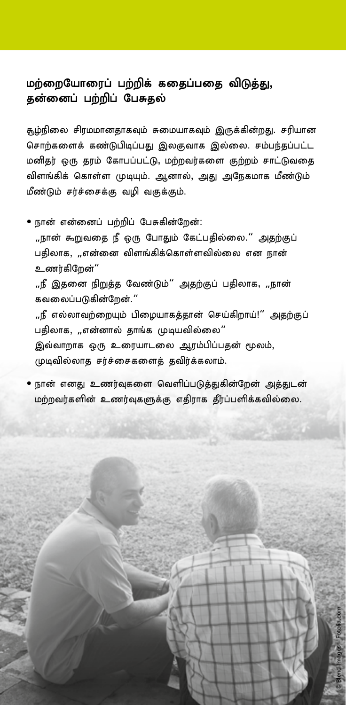#### மற்றையோரைப் பற்றிக் கதைப்பதை விடுத்து, தன்னைப் பற்றிப் பேசுதல்

கூழ்நிலை சிரமமானதாகவும் சுமையாகவும் இருக்கின்றது. சரியான சொற்களைக் கண்டுபிடிப்பது இலகுவாக இல்லை. சம்பந்தப்பட்ட மனிதர் ஒரு தரம் கோபப்பட்டு, மற்றவர்களை குற்றம் சாட்டுவதை விளங்கிக் கொள்ள முடியும். ஆனால், அது அநேகமாக மீண்டும் மீண்டும் சா்ச்சைக்கு வமி வகுக்கும்.

• நான் என்னைப் பற்றிப் பேசுகின்றேன்:

,,நான் கூறுவதை நீ ஒரு போதும் கேட்பதில்லை.'' அதற்குப் பதிலாக, ,,என்னை விளங்கிக்கொள்ளவில்லை என நான் உணர்கிறேன்'' ,,நீ இதனை நிறுத்த வேண்டும்" அதற்குப் பதிலாக, ,,நான் கவலைப்படுகின்றேன்." ,,நீ எல்லாவற்றையும் பிமையாகக்கான் செய்கிறாய்!'' அகற்குப் பதிலாக, ,,என்னால் தாங்க முடியவில்லை" இவ்வாறாக ஒரு உரையாடலை ஆரம்பிப்பதன் மூலம், முடிவில்லாத சர்ச்சைகளைத் தவிர்க்கலாம்.

• நான் எனது உணர்வுகளை வெளிப்படுத்துகின்றேன் அத்துடன் மற்றவர்களின் உணர்வுகளுக்கு எதிராக தீர்ப்பளிக்கவில்லை.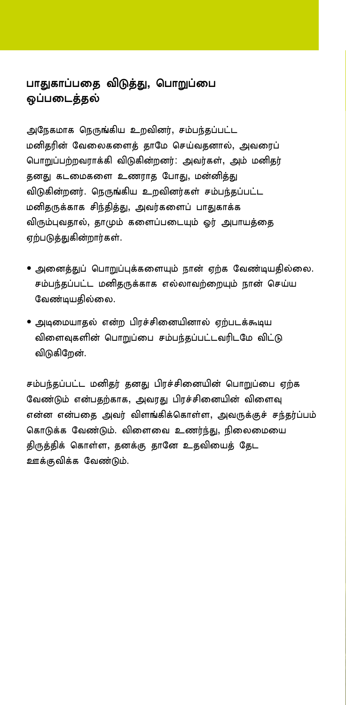#### பாதுகாப்பதை விடுத்து, பொறுப்பை ஒப்படைத்தல்

அநேகமாக நெருங்கிய உறவினர், சம்பந்தப்பட்ட மனிதரின் வேலைகளைத் தாமே செய்வதனால், அவரைப் பொறுப்பற்றவராக்கி விடுகின்றனர்: அவர்கள், அம் மனிதர் தனது கடமைகளை உணராத போது, மன்னித்து விடுகின்றனர். நெருங்கிய உறவினர்கள் சம்பந்கப்பட்ட மனிதருக்காக சிந்தித்து, அவர்களைப் பாதுகாக்க விரும்புவதால், தாமும் களைப்படையும் ஓர் அபாயத்தை ஏற்படுத்துகின்றார்கள்.

- அனைத்துப் பொறுப்புக்களையும் நான் ஏற்க வேண்டியதில்லை. சம்பந்தப்பட்ட மனிகருக்காக எல்லாவற்றையும் நான் செய்ய வேண்டியதில்லை.
- அடிமையாதல் என்ற பிரச்சினையினால் ஏற்படக்கூடிய விளைவுகளின் பொறுப்பை சம்பந்தப்பட்டவரிடமே விட்டு விடுகிறேன்.

சம்பந்தப்பட்ட மனிதர் தனது பிரச்சினையின் பொறுப்பை ஏற்க வேண்டும் என்பதற்காக, அவரது பிரச்சினையின் விளைவு என்ன என்பதை அவர் விளங்கிக்கொள்ள, அவருக்குச் சந்தர்ப்பம் கொடுக்க வேண்டும். விளைவை உணர்ந்து, நிலைமையை திருத்திக் கொள்ள, தனக்கு தானே உதவியைத் தேட ஊக்குவிக்க வேண்டும்.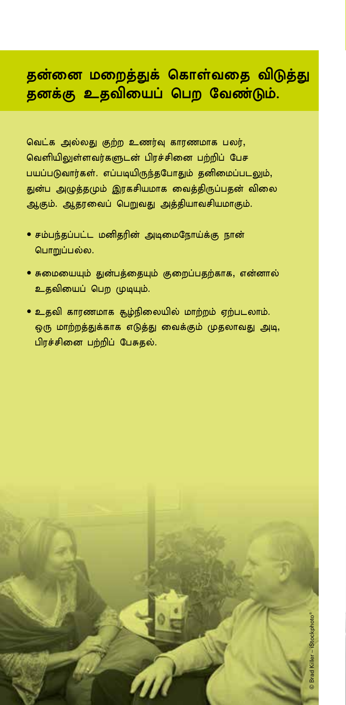## தன்னை மறைத்துக் கொள்வதை விடுத்து தனக்கு உதவியைப் பெற வேண்டும்.

வெட்க அல்லது குற்ற உணர்வு காரணமாக பலர், வெளியிலுள்ளவர்களுடன் பிரச்சினை பற்றிப் பேச பயப்படுவார்கள். எப்படியிருந்தபோதும் தனிமைப்படலும், துன்ப அழுத்தமும் இரகசியமாக வைத்திருப்பதன் விலை ஆகும். ஆதரவைப் பெறுவது அத்தியாவசியமாகும்.

- சம்பந்தப்பட்ட மனிதரின் அடிமைநோய்க்கு நான் பொறுப்பல்ல.
- சுமையையும் துன்பத்தையும் குறைப்பதற்காக, என்னால் உதவியைப் பெற முடியும்.
- உதவி காரணமாக சூழ்நிலையில் மாற்றம் ஏற்படலாம். ஒரு மாற்றத்துக்காக எடுத்து வைக்கும் முதலாவது அடி, பிரச்சினை பற்றிப் பேசுதல்.

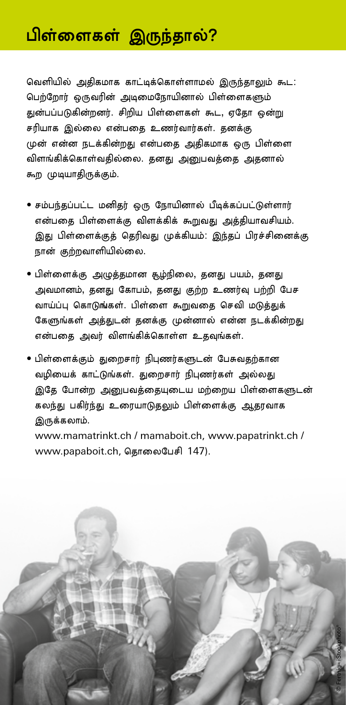## பிள்ளைகள் இருந்தால்?

வெளியில் அதிகமாக காட்டிக்கொள்ளாமல் இருந்தாலும் கூட: பெற்றோர் ஒருவரின் அடிமைநோயினால் பிள்ளைகளும் துன்பப்படுகின்றனர். சிறிய பிள்ளைகள் கூட, ஏதோ ஒன்று சரியாக இல்லை என்பதை உணர்வார்கள். தனக்கு முன் என்ன நடக்கின்றது என்பதை அதிகமாக ஒரு பிள்ளை விளங்கிக்கொள்வதில்லை. தனது அனுபவத்தை அதனால் கூற முடியாதிருக்கும்.

- சம்பந்தப்பட்ட மனிதர் ஒரு நோயினால் பீடிக்கப்பட்டுள்ளார் என்பதை பிள்ளைக்கு விளக்கிக் கூறுவது அத்தியாவசியம். இது பிள்ளைக்குத் தெரிவது முக்கியம்: இந்தப் பிரச்சினைக்கு நான் குற்றவாளியில்லை.
- பிள்ளைக்கு அழுத்தமான கூழ்நிலை, தனது பயம், தனது அவமானம், தனது கோபம், தனது குற்ற உணர்வு பற்றி பேச வாய்ப்பு கொடுங்கள். பிள்ளை கூறுவதை செவி மடுத்துக் கேளுங்கள் அத்துடன் தனக்கு முன்னால் என்ன நடக்கின்றது என்பதை அவர் விளங்கிக்கொள்ள உதவுங்கள்.
- பிள்ளைக்கும் துறைசார் நிபுணர்களுடன் பேசுவதற்கான வழியைக் காட்டுங்கள். துறைசார் நிபுணர்கள் அல்லது இதே போன்ற அனுபவத்தையுடைய மற்றைய பிள்ளைகளுடன் கலந்து பகிர்ந்து உரையாடுதலும் பிள்ளைக்கு ஆதரவாக இருக்கலாம்.

www.mamatrinkt.ch / mamaboit.ch, www.papatrinkt.ch / www.papaboit.ch, தொலைபேசி 147).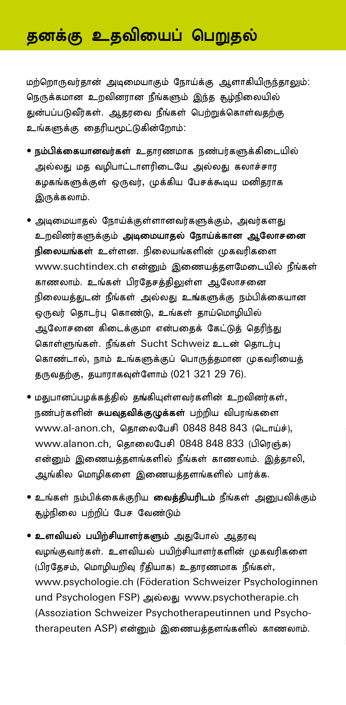## தனக்கு உதவியைப் பெறுதல்

மற்றொருவர்தான் அடிமையாகும் நோய்க்கு ஆளாகியிருந்தாலும்: நெருக்கமான உறவினரான நீங்களும் இந்த சூழ்நிலையில் துன்பப்படுவீர்கள். ஆதரவை நீங்கள் பெற்றுக்கொள்வதற்கு உங்களுக்கு தைரியமூட்டுகின்றோம்:

- நம்பிக்கையானவர்கள் உதாரணமாக நண்பர்களுக்கிடையில் அல்லது மத வழிபாட்டாளரிடையே அல்லது கலாச்சார கழகங்களுக்குள் ஒருவர், முக்கிய பேசக்கூடிய மனிதராக இருக்கலாம்.
- அடிமையாதல் நோய்க்குள்ளானவர்களுக்கும், அவர்களது உறவினர்களுக்கும் அடிமையாதல் நோய்க்கான ஆலோசனை நிலையங்கள் உள்ளன. நிலையங்களின் முகவரிகளை www.suchtindex.ch என்னும் இணையத்தளமேடையில் நீங்கள் காணலாம். உங்கள் பிரதேசத்திலுள்ள ஆலோசனை நிலையத்துடன் நீங்கள் அல்லது உங்களுக்கு நம்பிக்கையான ஒருவர் தொடர்பு கொண்டு, உங்கள் தாய்மொழியில் ஆலோசனை கிடைக்குமா என்பதைக் கேட்டுத் தெரிந்து கொள்ளுங்கள். நீங்கள் Sucht Schweiz உடன் தொடர்பு கொண்டால், நாம் உங்களுக்குப் பொருத்தமான முகவரியைத் தருவதற்கு, தயாராகவுள்ளோம் (021 321 29 76).
- மதுபானப்பழக்கத்தில் தங்கியுள்ளவர்களின் உறவினர்கள், நண்பர்களின் சுயவுதவிக்குழுக்கள் பற்றிய விபரங்களை www.al-anon.ch, தொலைபேசி 0848 848 843 (டொய்ச்), www.alanon.ch, கொலைபேசி 0848 848 833 (பிரெஞ்சு) என்னும் இணையத்தளங்களில் நீங்கள் காணலாம். இத்தாலி, ஆங்கில மொழிகளை இணையத்தளங்களில் பார்க்க.
- $\bullet$  உங்கள் நம்பிக்கைக்குரிய வைத்தியரிடம் நீங்கள் அனுபவிக்கும் சூழ்நிலை பற்றிப் பேச வேண்டும்
- உளவியல் பயிற்சியாளர்களும் அதுபோல் ஆதரவு வழங்குவார்கள். உளவியல் பயிற்சியாளர்களின் முகவரிகளை (பிரதேசம், மொழியறிவு ரீதியாக) உதாரணமாக நீங்கள், www.psychologie.ch (Föderation Schweizer Psychologinnen und Psychologen FSP) அல்லது www.psychotherapie.ch (Assoziation Schweizer Psychotherapeutinnen und Psychotherapeuten ASP) என்னும் இணையத்தளங்களில் காணலாம்.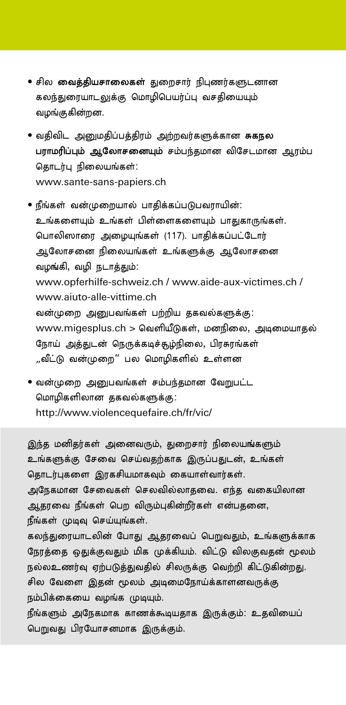- சில **வைத்தியசாலைகள்** துறைசார் நிபுணர்களுடனான கலந்துரையாடலுக்கு மொழிபெயர்ப்பு வசதியையும் வழங்குகின்றன.
- வதிவிட அனுமதிப்பத்திரம் அற்றவர்களுக்கான சுகநல பராமரிப்பும் ஆலோசனையும் சம்பந்தமான விசேடமான ஆரம்ப தொடர்பு நிலையங்கள்: www.sante-sans-papiers.ch
- நீங்கள் வன்முறையால் பாதிக்கப்படுபவராயின்: உங்களையும் உங்கள் பிள்ளைகளையும் பாதுகாருங்கள். பொலிஸாரை அழையுங்கள் (117). பாதிக்கப்பட்டோர் ஆலோசனை நிலையங்கள் உங்களுக்கு ஆலோசனை வழங்கி, வழி நடாத்தும்: www.opferhilfe-schweiz.ch / www.aide-aux-victimes.ch / www.aiuto-alle-vittime.ch வன்முறை அனுபவங்கள் பற்றிய தகவல்களுக்கு: www.migesplus.ch > வெளியீடுகள், மனநிலை, அடிமையாதல் நோய் அத்துடன் நெருக்கடிச்சூழ்நிலை, பிரசுரங்கள் ,,வீட்டு வன்முறை" பல மொமிகளில் உள்ளன
- வன்முறை அனுபவங்கள் சம்பந்தமான வேறுபட்ட மொமிகளிலான தகவல்களுக்கு: http://www.violencequefaire.ch/fr/vic/

இந்த மனிதர்கள் அனைவரும், துறைசார் நிலையங்களும் உங்களுக்கு சேவை செய்வதற்காக இருப்பதுடன், உங்கள் தொடர்புகளை இரகசியமாகவும் கையாள்வார்கள். அநேகமான சேவைகள் செலவில்லாதவை. எந்த வகையிலான ஆதரவை நீங்கள் பெற விரும்புகின்றீர்கள் என்பதனை, நீங்கள் முடிவு செய்யுங்கள். கலந்துரையாடலின் போது ஆதரவைப் பெறுவதும், உங்களுக்காக நேரத்தை ஒதுக்குவதும் மிக முக்கியம். விட்டு விலகுவதன் மூலம் நல்லஉணர்வு ஏற்படுத்துவதில் சிலருக்கு வெற்றி கிட்டுகின்றது. சில வேளை இதன் மூலம் அடிமைநோய்க்காளனவருக்கு நம்பிக்கையை வழங்க முடியும். நீங்களும் அநேகமாக காணக்கூடியதாக இருக்கும்: உதவியைப் பெறுவது பிரயோசனமாக இருக்கும்.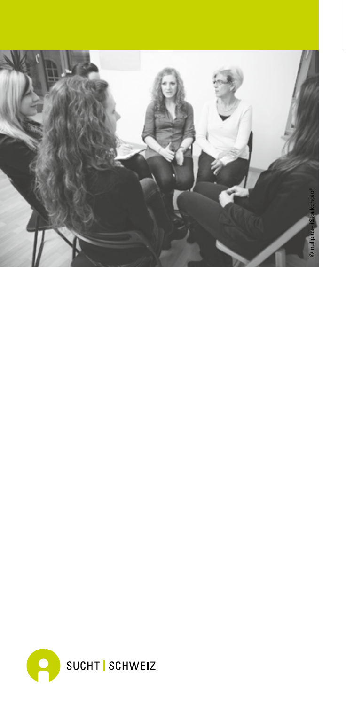

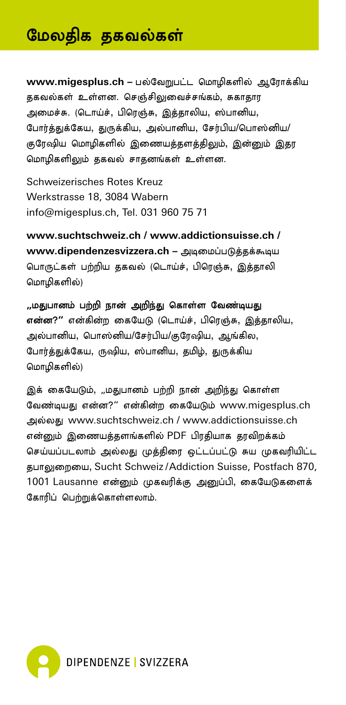## <sup>னு</sup> மேலதிக தகவல்கள்

www.migesplus.ch – பல்வேறுபட்ட மொழிகளில் ஆரோக்கிய தகவல்கள் உள்ளன. செஞ்சிலுவைச்சங்கம், சுகாதார அமைச்சு. (டொய்ச், பிரெஞ்சு, இத்தாலிய, ஸ்பானிய, போர்த்துக்கேய, துருக்கிய, அல்பானிய, சேர்பிய/பொஸ்னிய/ குரேஷிய மொழிகளில் இணையத்தளத்திலும், இன்னும் இதர மொழிகளிலும் தகவல் சாதனங்கள் உள்ளன.

Schweizerisches Rotes Kreuz Werkstrasse 18, 3084 Wabern info@migesplus.ch, Tel. 031 960 75 71

**www.suchtschweiz.ch / www.addictionsuisse.ch /**  www.dipendenzesvizzera.ch – அடிமைப்படுத்தக்கூடிய பொருட்கள் பற்றிய தகவல் (டொய்ச், பிரெஞ்சு, இத்தாலி மொமிகளில்)

**,,**மதுபானம் பற்றி நான் அறிந்து கொள்ள வேண்டியது என்ன?" என்கின்ற கையேடு (டொய்ச், பிரெஞ்சு, இத்தாலிய, அல்பானிய, பொஸ்னிய/சேர்பிய/குரேஷிய, ஆங்கில, போர்க்குக்கேய, ருஷிய, ஸ்பானிய, கமிம், குருக்கிய மொழிகளில்)

இக் கையேடும், "மதுபானம் பற்றி நான் அறிந்து கொள்ள வேண்டியது என்ன?" என்கின்ற கையேடும் www.migesplus.ch my;yJ www.suchtschweiz.ch / www.addictionsuisse.ch என்றும் இணையத்தளங்களில் PDF பிரதியாக தாவிறக்கம் செய்யப்படலாம் அல்லது முத்திரை ஒட்டப்பட்டு சுய முகவரியிட்ட தபாலுறையை, Sucht Schweiz / Addiction Suisse, Postfach 870, 1001 Lausanne என்னும் முகவரிக்கு அனுப்பி, கையேடுகளைக் கோரிப் பெற்றுக்கொள்ளலாம்.